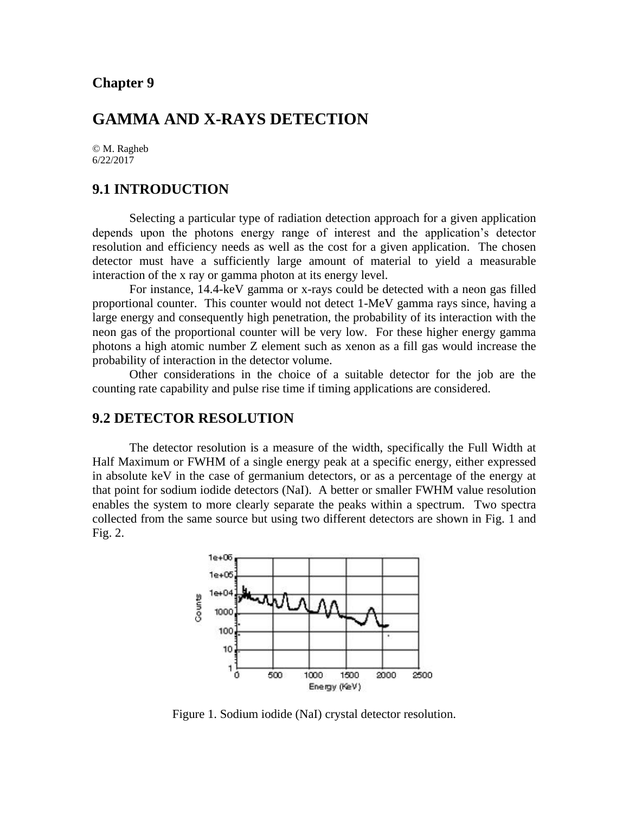# **GAMMA AND X-RAYS DETECTION**

© M. Ragheb 6/22/2017

# **9.1 INTRODUCTION**

Selecting a particular type of radiation detection approach for a given application depends upon the photons energy range of interest and the application's detector resolution and efficiency needs as well as the cost for a given application. The chosen detector must have a sufficiently large amount of material to yield a measurable interaction of the x ray or gamma photon at its energy level.

For instance, 14.4-keV gamma or x-rays could be detected with a neon gas filled proportional counter. This counter would not detect 1-MeV gamma rays since, having a large energy and consequently high penetration, the probability of its interaction with the neon gas of the proportional counter will be very low. For these higher energy gamma photons a high atomic number Z element such as xenon as a fill gas would increase the probability of interaction in the detector volume.

Other considerations in the choice of a suitable detector for the job are the counting rate capability and pulse rise time if timing applications are considered.

## **9.2 DETECTOR RESOLUTION**

The detector resolution is a measure of the width, specifically the Full Width at Half Maximum or FWHM of a single energy peak at a specific energy, either expressed in absolute keV in the case of germanium detectors, or as a percentage of the energy at that point for sodium iodide detectors (NaI). A better or smaller FWHM value resolution enables the system to more clearly separate the peaks within a spectrum. Two spectra collected from the same source but using two different detectors are shown in Fig. 1 and Fig. 2.



Figure 1. Sodium iodide (NaI) crystal detector resolution.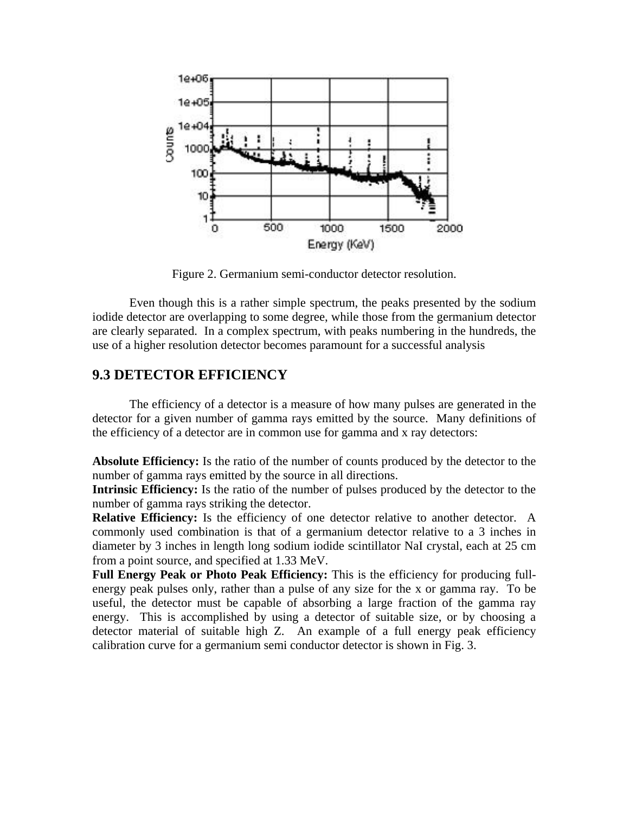

Figure 2. Germanium semi-conductor detector resolution.

Even though this is a rather simple spectrum, the peaks presented by the sodium iodide detector are overlapping to some degree, while those from the germanium detector are clearly separated. In a complex spectrum, with peaks numbering in the hundreds, the use of a higher resolution detector becomes paramount for a successful analysis

## **9.3 DETECTOR EFFICIENCY**

The efficiency of a detector is a measure of how many pulses are generated in the detector for a given number of gamma rays emitted by the source. Many definitions of the efficiency of a detector are in common use for gamma and x ray detectors:

**Absolute Efficiency:** Is the ratio of the number of counts produced by the detector to the number of gamma rays emitted by the source in all directions.

**Intrinsic Efficiency:** Is the ratio of the number of pulses produced by the detector to the number of gamma rays striking the detector.

**Relative Efficiency:** Is the efficiency of one detector relative to another detector. A commonly used combination is that of a germanium detector relative to a 3 inches in diameter by 3 inches in length long sodium iodide scintillator NaI crystal, each at 25 cm from a point source, and specified at 1.33 MeV.

**Full Energy Peak or Photo Peak Efficiency:** This is the efficiency for producing fullenergy peak pulses only, rather than a pulse of any size for the x or gamma ray. To be useful, the detector must be capable of absorbing a large fraction of the gamma ray energy. This is accomplished by using a detector of suitable size, or by choosing a detector material of suitable high Z. An example of a full energy peak efficiency calibration curve for a germanium semi conductor detector is shown in Fig. 3.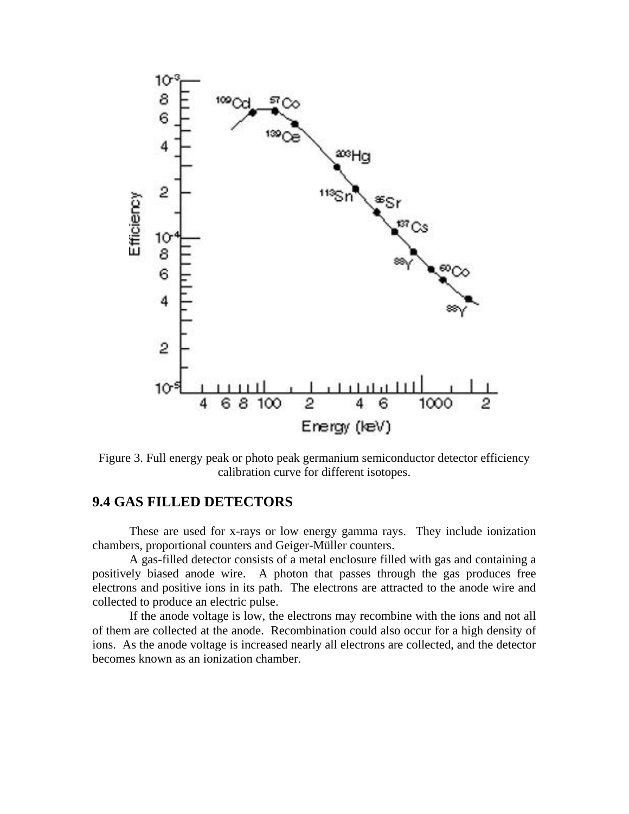

Figure 3. Full energy peak or photo peak germanium semiconductor detector efficiency calibration curve for different isotopes.

# **9.4 GAS FILLED DETECTORS**

These are used for x-rays or low energy gamma rays. They include ionization chambers, proportional counters and Geiger-Müller counters.

A gas-filled detector consists of a metal enclosure filled with gas and containing a positively biased anode wire. A photon that passes through the gas produces free electrons and positive ions in its path. The electrons are attracted to the anode wire and collected to produce an electric pulse.

If the anode voltage is low, the electrons may recombine with the ions and not all of them are collected at the anode. Recombination could also occur for a high density of ions. As the anode voltage is increased nearly all electrons are collected, and the detector becomes known as an ionization chamber.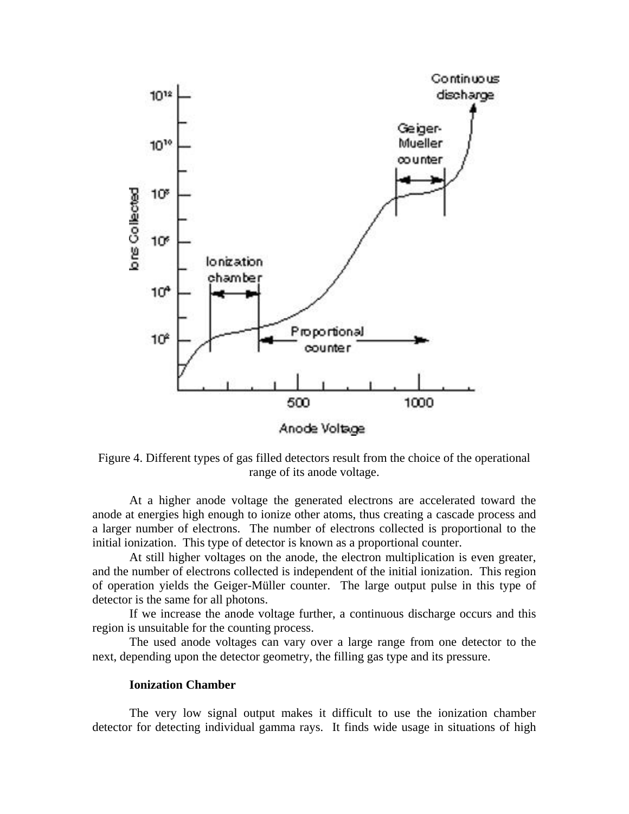

Figure 4. Different types of gas filled detectors result from the choice of the operational range of its anode voltage.

At a higher anode voltage the generated electrons are accelerated toward the anode at energies high enough to ionize other atoms, thus creating a cascade process and a larger number of electrons. The number of electrons collected is proportional to the initial ionization. This type of detector is known as a proportional counter.

At still higher voltages on the anode, the electron multiplication is even greater, and the number of electrons collected is independent of the initial ionization. This region of operation yields the Geiger-Müller counter. The large output pulse in this type of detector is the same for all photons.

If we increase the anode voltage further, a continuous discharge occurs and this region is unsuitable for the counting process.

The used anode voltages can vary over a large range from one detector to the next, depending upon the detector geometry, the filling gas type and its pressure.

#### **Ionization Chamber**

The very low signal output makes it difficult to use the ionization chamber detector for detecting individual gamma rays. It finds wide usage in situations of high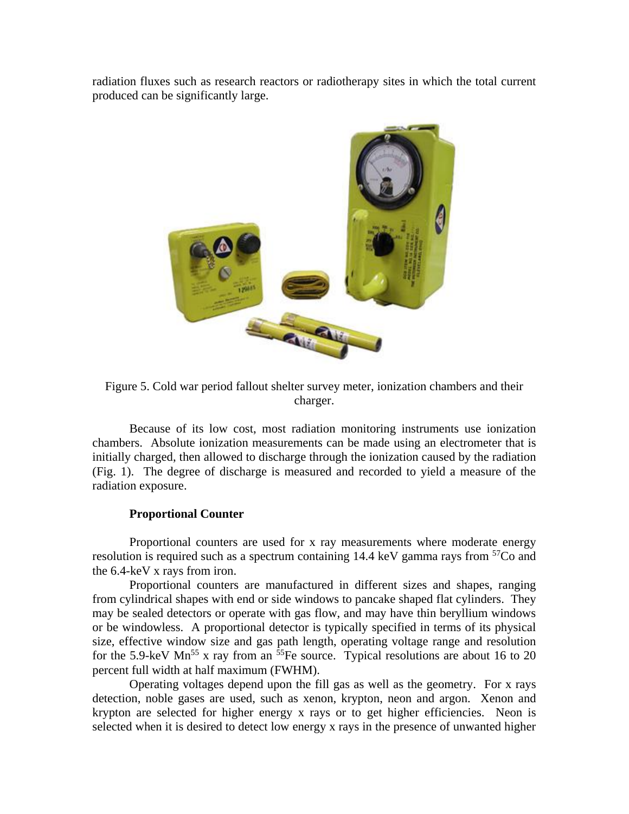radiation fluxes such as research reactors or radiotherapy sites in which the total current produced can be significantly large.



Figure 5. Cold war period fallout shelter survey meter, ionization chambers and their charger.

Because of its low cost, most radiation monitoring instruments use ionization chambers. Absolute ionization measurements can be made using an electrometer that is initially charged, then allowed to discharge through the ionization caused by the radiation (Fig. 1). The degree of discharge is measured and recorded to yield a measure of the radiation exposure.

### **Proportional Counter**

Proportional counters are used for x ray measurements where moderate energy resolution is required such as a spectrum containing 14.4 keV gamma rays from  ${}^{57}Co$  and the 6.4-keV x rays from iron.

Proportional counters are manufactured in different sizes and shapes, ranging from cylindrical shapes with end or side windows to pancake shaped flat cylinders. They may be sealed detectors or operate with gas flow, and may have thin beryllium windows or be windowless. A proportional detector is typically specified in terms of its physical size, effective window size and gas path length, operating voltage range and resolution for the 5.9-keV  $Mn^{55}$  x ray from an  $55$ Fe source. Typical resolutions are about 16 to 20 percent full width at half maximum (FWHM).

Operating voltages depend upon the fill gas as well as the geometry. For x rays detection, noble gases are used, such as xenon, krypton, neon and argon. Xenon and krypton are selected for higher energy x rays or to get higher efficiencies. Neon is selected when it is desired to detect low energy x rays in the presence of unwanted higher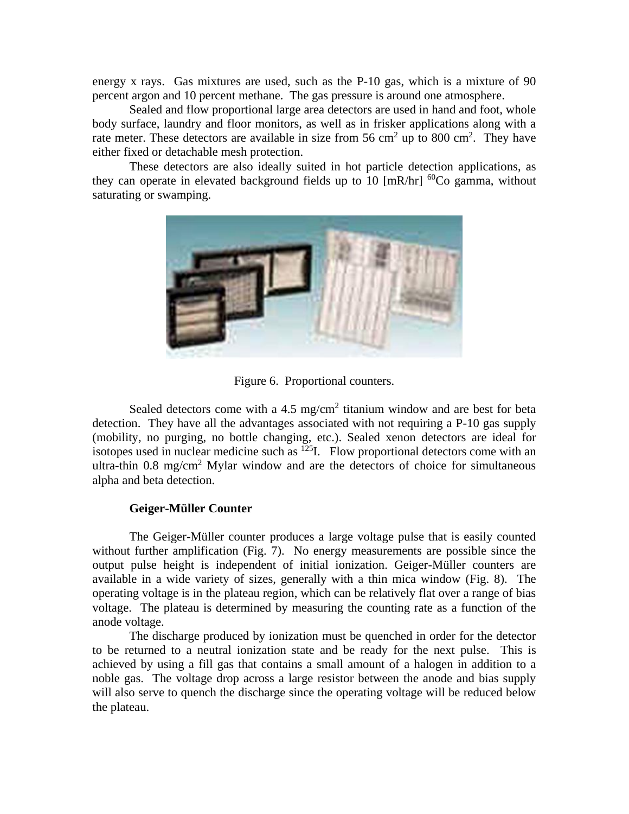energy x rays. Gas mixtures are used, such as the P-10 gas, which is a mixture of 90 percent argon and 10 percent methane. The gas pressure is around one atmosphere.

Sealed and flow proportional large area detectors are used in hand and foot, whole body surface, laundry and floor monitors, as well as in frisker applications along with a rate meter. These detectors are available in size from 56 cm<sup>2</sup> up to 800 cm<sup>2</sup>. They have either fixed or detachable mesh protection.

These detectors are also ideally suited in hot particle detection applications, as they can operate in elevated background fields up to 10  $\text{Im}R/\text{hr}$  <sup>60</sup>Co gamma, without saturating or swamping.



Figure 6. Proportional counters.

Sealed detectors come with a  $4.5 \text{ mg/cm}^2$  titanium window and are best for beta detection. They have all the advantages associated with not requiring a P-10 gas supply (mobility, no purging, no bottle changing, etc.). Sealed xenon detectors are ideal for isotopes used in nuclear medicine such as  $^{125}$ I. Flow proportional detectors come with an ultra-thin  $0.8 \text{ mg/cm}^2$  Mylar window and are the detectors of choice for simultaneous alpha and beta detection.

#### **Geiger-Müller Counter**

The Geiger-Müller counter produces a large voltage pulse that is easily counted without further amplification (Fig. 7). No energy measurements are possible since the output pulse height is independent of initial ionization. Geiger-Müller counters are available in a wide variety of sizes, generally with a thin mica window (Fig. 8). The operating voltage is in the plateau region, which can be relatively flat over a range of bias voltage. The plateau is determined by measuring the counting rate as a function of the anode voltage.

The discharge produced by ionization must be quenched in order for the detector to be returned to a neutral ionization state and be ready for the next pulse. This is achieved by using a fill gas that contains a small amount of a halogen in addition to a noble gas. The voltage drop across a large resistor between the anode and bias supply will also serve to quench the discharge since the operating voltage will be reduced below the plateau.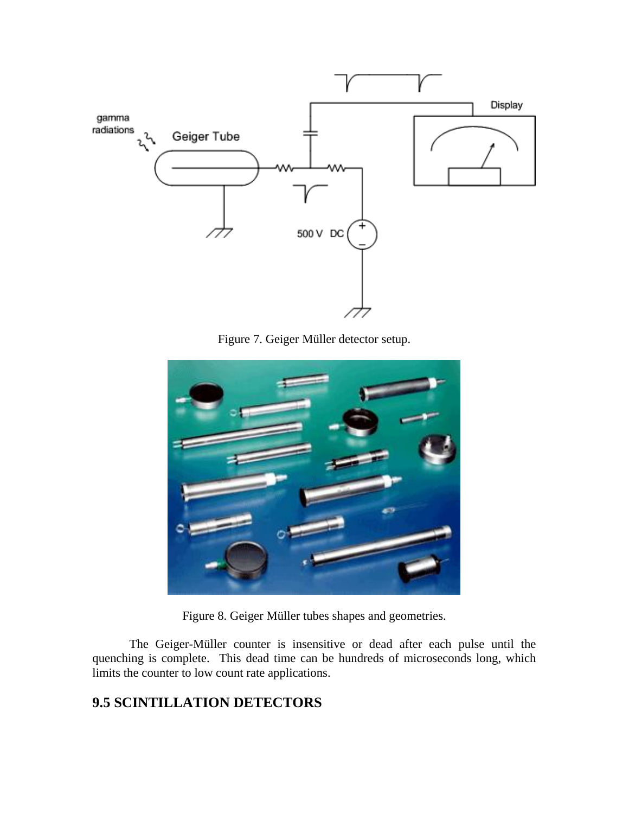

Figure 7. Geiger Müller detector setup.



Figure 8. Geiger Müller tubes shapes and geometries.

The Geiger-Müller counter is insensitive or dead after each pulse until the quenching is complete. This dead time can be hundreds of microseconds long, which limits the counter to low count rate applications.

# **9.5 SCINTILLATION DETECTORS**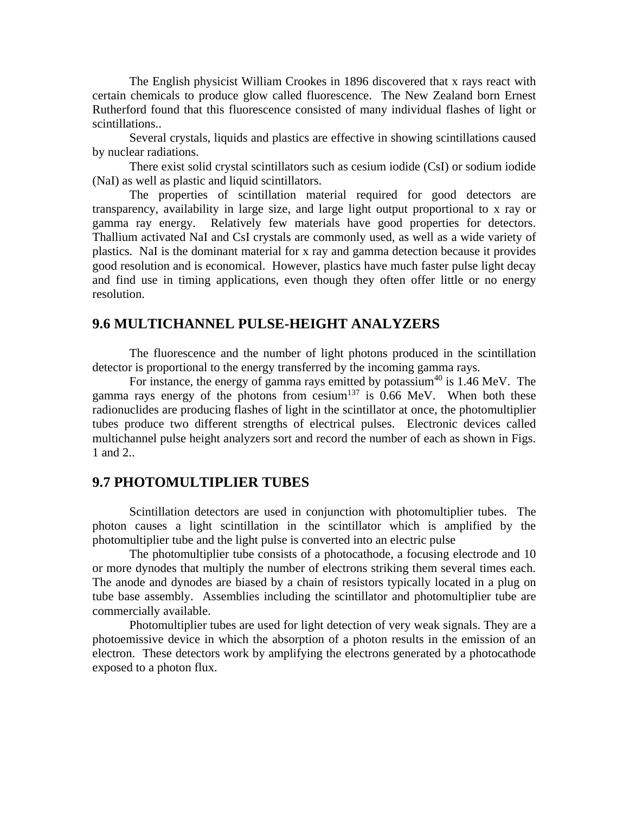The English physicist William Crookes in 1896 discovered that x rays react with certain chemicals to produce glow called fluorescence. The New Zealand born Ernest Rutherford found that this fluorescence consisted of many individual flashes of light or scintillations..

Several crystals, liquids and plastics are effective in showing scintillations caused by nuclear radiations.

There exist solid crystal scintillators such as cesium iodide (CsI) or sodium iodide (NaI) as well as plastic and liquid scintillators.

The properties of scintillation material required for good detectors are transparency, availability in large size, and large light output proportional to x ray or gamma ray energy. Relatively few materials have good properties for detectors. Thallium activated NaI and CsI crystals are commonly used, as well as a wide variety of plastics. NaI is the dominant material for x ray and gamma detection because it provides good resolution and is economical. However, plastics have much faster pulse light decay and find use in timing applications, even though they often offer little or no energy resolution.

## **9.6 MULTICHANNEL PULSE-HEIGHT ANALYZERS**

The fluorescence and the number of light photons produced in the scintillation detector is proportional to the energy transferred by the incoming gamma rays.

For instance, the energy of gamma rays emitted by potassium<sup>40</sup> is  $1.46 \text{ MeV}$ . The gamma rays energy of the photons from cesium<sup>137</sup> is  $0.66$  MeV. When both these radionuclides are producing flashes of light in the scintillator at once, the photomultiplier tubes produce two different strengths of electrical pulses. Electronic devices called multichannel pulse height analyzers sort and record the number of each as shown in Figs. 1 and 2..

## **9.7 PHOTOMULTIPLIER TUBES**

Scintillation detectors are used in conjunction with photomultiplier tubes. The photon causes a light scintillation in the scintillator which is amplified by the photomultiplier tube and the light pulse is converted into an electric pulse

The photomultiplier tube consists of a photocathode, a focusing electrode and 10 or more dynodes that multiply the number of electrons striking them several times each. The anode and dynodes are biased by a chain of resistors typically located in a plug on tube base assembly. Assemblies including the scintillator and photomultiplier tube are commercially available.

Photomultiplier tubes are used for light detection of very weak signals. They are a photoemissive device in which the absorption of a photon results in the emission of an electron. These detectors work by amplifying the electrons generated by a photocathode exposed to a photon flux.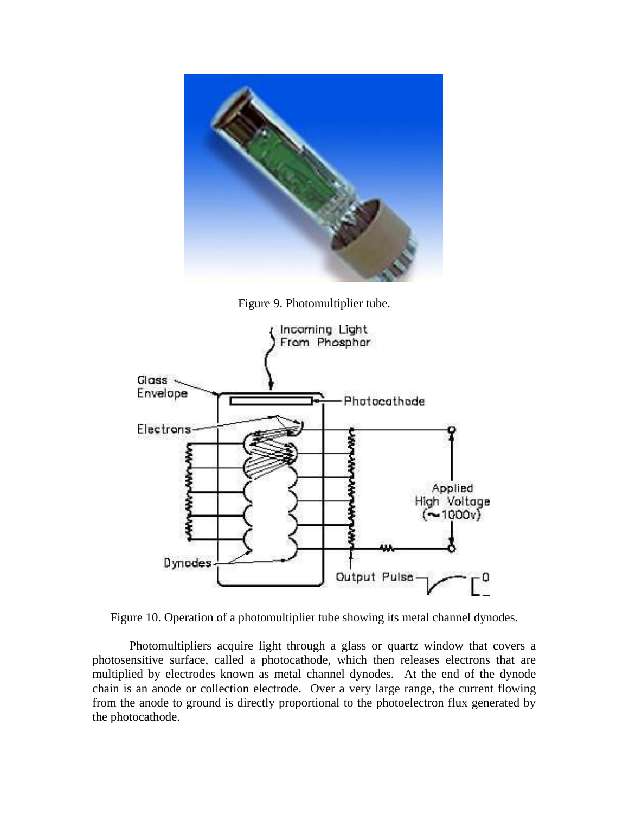

Figure 9. Photomultiplier tube.



Figure 10. Operation of a photomultiplier tube showing its metal channel dynodes.

Photomultipliers acquire light through a glass or quartz window that covers a photosensitive surface, called a photocathode, which then releases electrons that are multiplied by electrodes known as metal channel dynodes. At the end of the dynode chain is an anode or collection electrode. Over a very large range, the current flowing from the anode to ground is directly proportional to the photoelectron flux generated by the photocathode.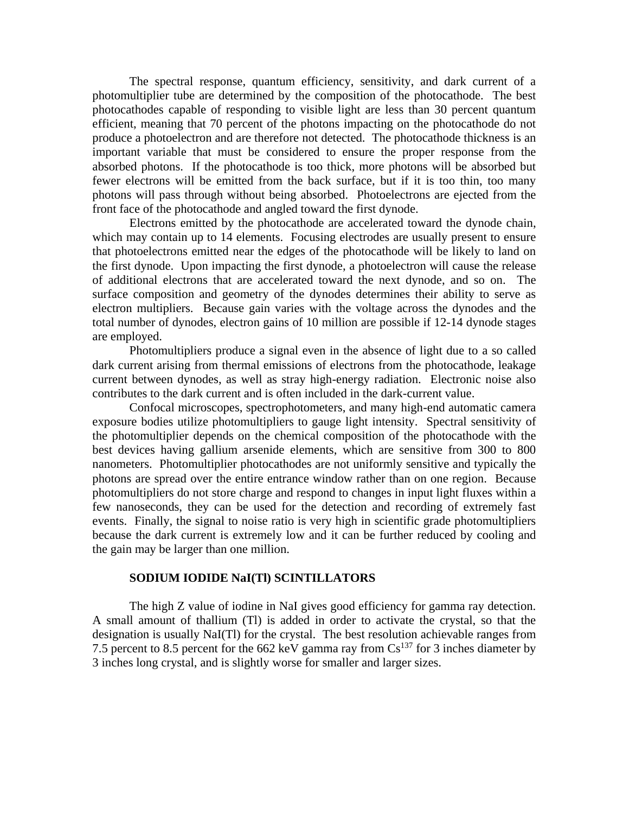The spectral response, quantum efficiency, sensitivity, and dark current of a photomultiplier tube are determined by the composition of the photocathode. The best photocathodes capable of responding to visible light are less than 30 percent quantum efficient, meaning that 70 percent of the photons impacting on the photocathode do not produce a photoelectron and are therefore not detected. The photocathode thickness is an important variable that must be considered to ensure the proper response from the absorbed photons. If the photocathode is too thick, more photons will be absorbed but fewer electrons will be emitted from the back surface, but if it is too thin, too many photons will pass through without being absorbed. Photoelectrons are ejected from the front face of the photocathode and angled toward the first dynode.

Electrons emitted by the photocathode are accelerated toward the dynode chain, which may contain up to 14 elements. Focusing electrodes are usually present to ensure that photoelectrons emitted near the edges of the photocathode will be likely to land on the first dynode. Upon impacting the first dynode, a photoelectron will cause the release of additional electrons that are accelerated toward the next dynode, and so on. The surface composition and geometry of the dynodes determines their ability to serve as electron multipliers. Because gain varies with the voltage across the dynodes and the total number of dynodes, electron gains of 10 million are possible if 12-14 dynode stages are employed.

Photomultipliers produce a signal even in the absence of light due to a so called dark current arising from thermal emissions of electrons from the photocathode, leakage current between dynodes, as well as stray high-energy radiation. Electronic noise also contributes to the dark current and is often included in the dark-current value.

Confocal microscopes, spectrophotometers, and many high-end automatic camera exposure bodies utilize photomultipliers to gauge light intensity. Spectral sensitivity of the photomultiplier depends on the chemical composition of the photocathode with the best devices having gallium arsenide elements, which are sensitive from 300 to 800 nanometers. Photomultiplier photocathodes are not uniformly sensitive and typically the photons are spread over the entire entrance window rather than on one region. Because photomultipliers do not store charge and respond to changes in input light fluxes within a few nanoseconds, they can be used for the detection and recording of extremely fast events. Finally, the signal to noise ratio is very high in scientific grade photomultipliers because the dark current is extremely low and it can be further reduced by cooling and the gain may be larger than one million.

#### **SODIUM IODIDE NaI(Tl) SCINTILLATORS**

The high Z value of iodine in NaI gives good efficiency for gamma ray detection. A small amount of thallium (Tl) is added in order to activate the crystal, so that the designation is usually NaI(Tl) for the crystal. The best resolution achievable ranges from 7.5 percent to 8.5 percent for the 662 keV gamma ray from  $Cs^{137}$  for 3 inches diameter by 3 inches long crystal, and is slightly worse for smaller and larger sizes.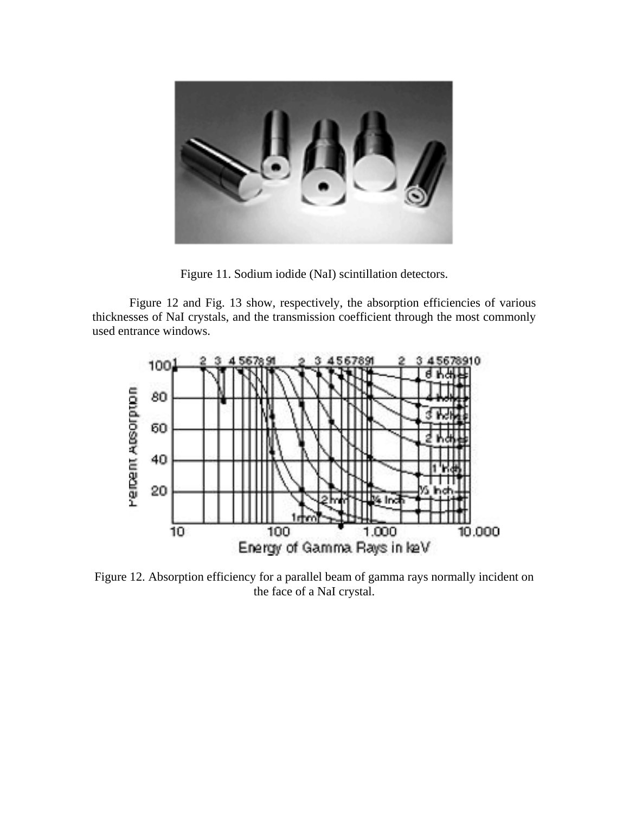

Figure 11. Sodium iodide (NaI) scintillation detectors.

Figure 12 and Fig. 13 show, respectively, the absorption efficiencies of various thicknesses of NaI crystals, and the transmission coefficient through the most commonly used entrance windows.



Figure 12. Absorption efficiency for a parallel beam of gamma rays normally incident on the face of a NaI crystal.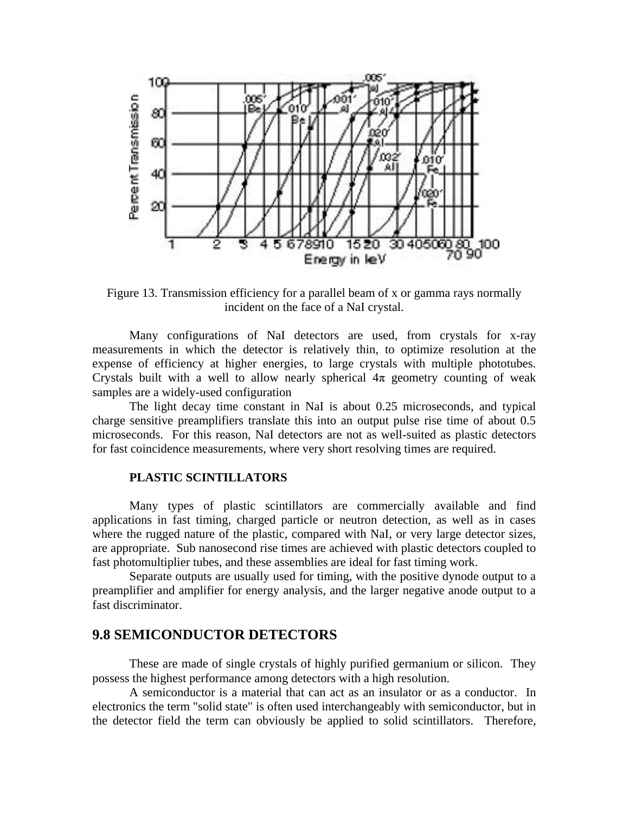

Figure 13. Transmission efficiency for a parallel beam of x or gamma rays normally incident on the face of a NaI crystal.

Many configurations of NaI detectors are used, from crystals for x-ray measurements in which the detector is relatively thin, to optimize resolution at the expense of efficiency at higher energies, to large crystals with multiple phototubes. Crystals built with a well to allow nearly spherical  $4\pi$  geometry counting of weak samples are a widely-used configuration

The light decay time constant in NaI is about 0.25 microseconds, and typical charge sensitive preamplifiers translate this into an output pulse rise time of about 0.5 microseconds. For this reason, NaI detectors are not as well-suited as plastic detectors for fast coincidence measurements, where very short resolving times are required.

#### **PLASTIC SCINTILLATORS**

Many types of plastic scintillators are commercially available and find applications in fast timing, charged particle or neutron detection, as well as in cases where the rugged nature of the plastic, compared with NaI, or very large detector sizes, are appropriate. Sub nanosecond rise times are achieved with plastic detectors coupled to fast photomultiplier tubes, and these assemblies are ideal for fast timing work.

Separate outputs are usually used for timing, with the positive dynode output to a preamplifier and amplifier for energy analysis, and the larger negative anode output to a fast discriminator.

### **9.8 SEMICONDUCTOR DETECTORS**

These are made of single crystals of highly purified germanium or silicon. They possess the highest performance among detectors with a high resolution.

A semiconductor is a material that can act as an insulator or as a conductor. In electronics the term "solid state" is often used interchangeably with semiconductor, but in the detector field the term can obviously be applied to solid scintillators. Therefore,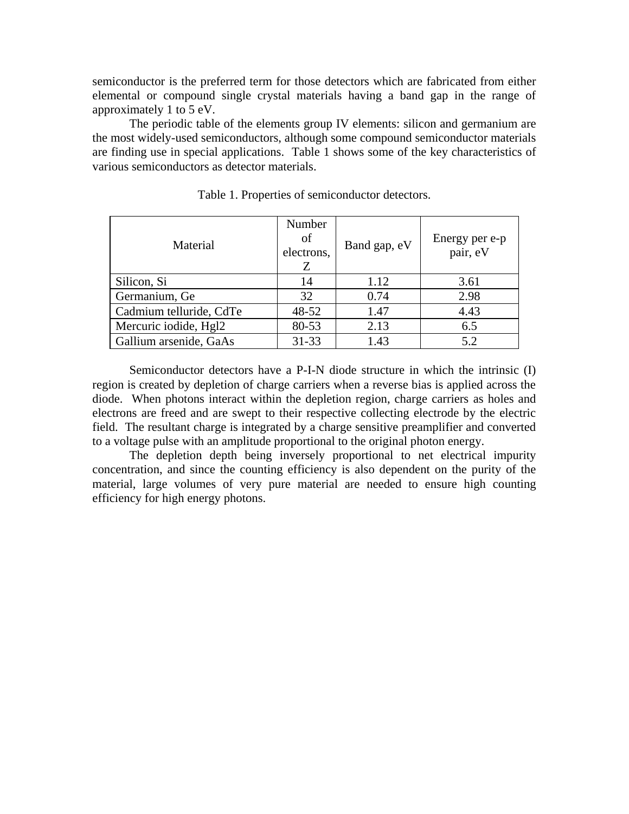semiconductor is the preferred term for those detectors which are fabricated from either elemental or compound single crystal materials having a band gap in the range of approximately 1 to 5 eV.

The periodic table of the elements group IV elements: silicon and germanium are the most widely-used semiconductors, although some compound semiconductor materials are finding use in special applications. Table 1 shows some of the key characteristics of various semiconductors as detector materials.

| Material                | Number<br>of<br>electrons,<br>Ζ | Band gap, eV | Energy per e-p<br>pair, eV |
|-------------------------|---------------------------------|--------------|----------------------------|
| Silicon, Si             | 14                              | 1.12         | 3.61                       |
| Germanium, Ge           | 32                              | 0.74         | 2.98                       |
| Cadmium telluride, CdTe | 48-52                           | 1.47         | 4.43                       |
| Mercuric iodide, Hgl2   | 80-53                           | 2.13         | 6.5                        |
| Gallium arsenide, GaAs  | $31 - 33$                       | 1.43         | 5.2                        |

Table 1. Properties of semiconductor detectors.

Semiconductor detectors have a P-I-N diode structure in which the intrinsic (I) region is created by depletion of charge carriers when a reverse bias is applied across the diode. When photons interact within the depletion region, charge carriers as holes and electrons are freed and are swept to their respective collecting electrode by the electric field. The resultant charge is integrated by a charge sensitive preamplifier and converted to a voltage pulse with an amplitude proportional to the original photon energy.

The depletion depth being inversely proportional to net electrical impurity concentration, and since the counting efficiency is also dependent on the purity of the material, large volumes of very pure material are needed to ensure high counting efficiency for high energy photons.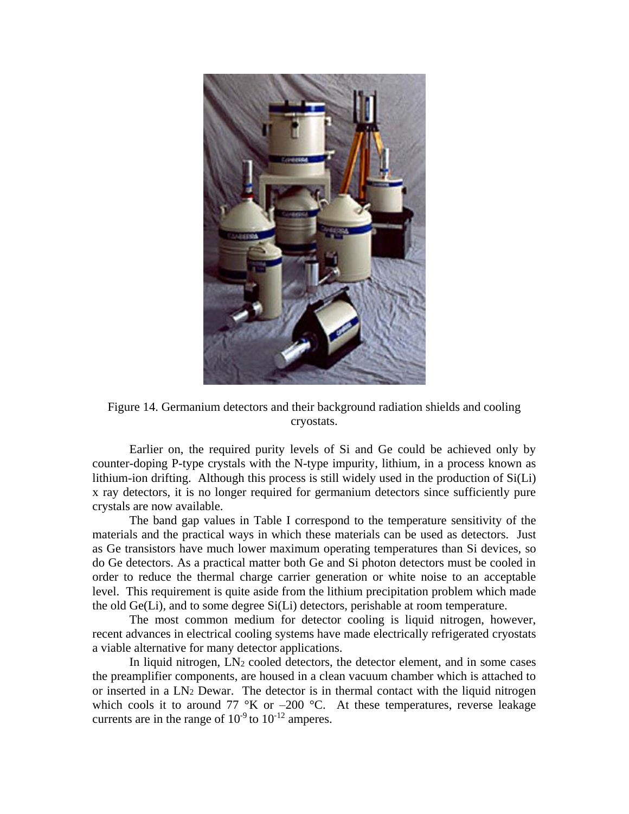

Figure 14. Germanium detectors and their background radiation shields and cooling cryostats.

Earlier on, the required purity levels of Si and Ge could be achieved only by counter-doping P-type crystals with the N-type impurity, lithium, in a process known as lithium-ion drifting. Although this process is still widely used in the production of Si(Li) x ray detectors, it is no longer required for germanium detectors since sufficiently pure crystals are now available.

The band gap values in Table I correspond to the temperature sensitivity of the materials and the practical ways in which these materials can be used as detectors. Just as Ge transistors have much lower maximum operating temperatures than Si devices, so do Ge detectors. As a practical matter both Ge and Si photon detectors must be cooled in order to reduce the thermal charge carrier generation or white noise to an acceptable level. This requirement is quite aside from the lithium precipitation problem which made the old Ge(Li), and to some degree Si(Li) detectors, perishable at room temperature.

The most common medium for detector cooling is liquid nitrogen, however, recent advances in electrical cooling systems have made electrically refrigerated cryostats a viable alternative for many detector applications.

In liquid nitrogen,  $LN_2$  cooled detectors, the detector element, and in some cases the preamplifier components, are housed in a clean vacuum chamber which is attached to or inserted in a  $LN_2$  Dewar. The detector is in thermal contact with the liquid nitrogen which cools it to around 77  $\mathrm{K}$  or  $-200 \mathrm{~}^{\circ}\mathrm{C}$ . At these temperatures, reverse leakage currents are in the range of  $10^{-9}$  to  $10^{-12}$  amperes.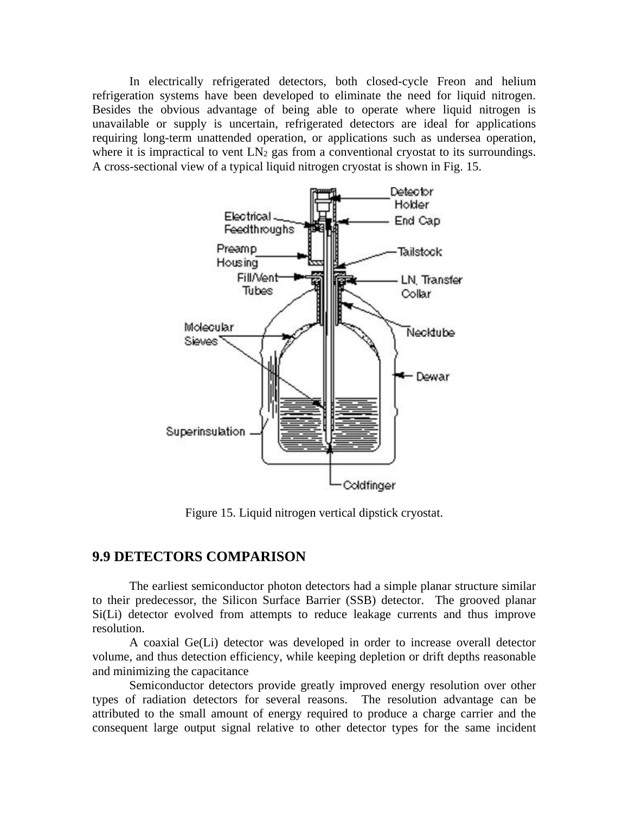In electrically refrigerated detectors, both closed-cycle Freon and helium refrigeration systems have been developed to eliminate the need for liquid nitrogen. Besides the obvious advantage of being able to operate where liquid nitrogen is unavailable or supply is uncertain, refrigerated detectors are ideal for applications requiring long-term unattended operation, or applications such as undersea operation, where it is impractical to vent  $LN_2$  gas from a conventional cryostat to its surroundings. A cross-sectional view of a typical liquid nitrogen cryostat is shown in Fig. 15.



Figure 15. Liquid nitrogen vertical dipstick cryostat.

## **9.9 DETECTORS COMPARISON**

The earliest semiconductor photon detectors had a simple planar structure similar to their predecessor, the Silicon Surface Barrier (SSB) detector. The grooved planar Si(Li) detector evolved from attempts to reduce leakage currents and thus improve resolution.

A coaxial Ge(Li) detector was developed in order to increase overall detector volume, and thus detection efficiency, while keeping depletion or drift depths reasonable and minimizing the capacitance

Semiconductor detectors provide greatly improved energy resolution over other types of radiation detectors for several reasons. The resolution advantage can be attributed to the small amount of energy required to produce a charge carrier and the consequent large output signal relative to other detector types for the same incident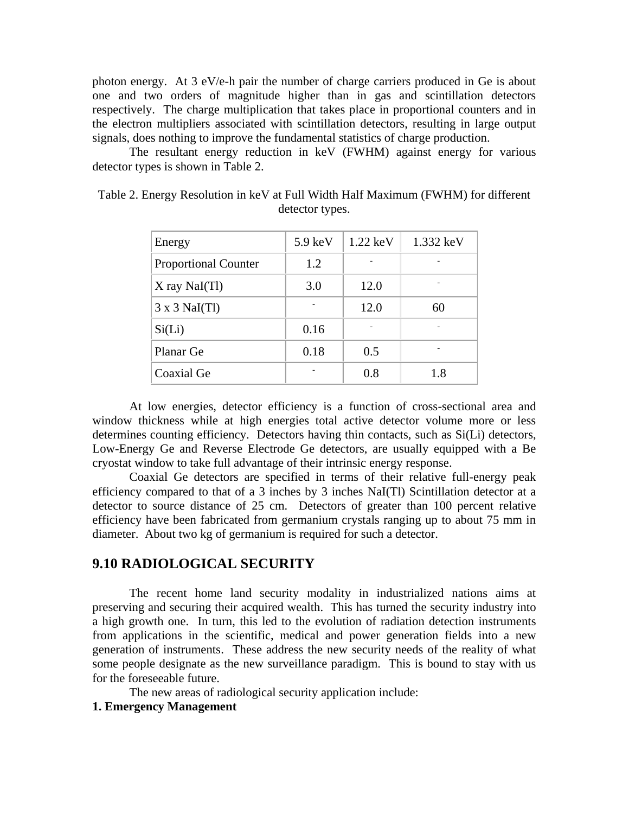photon energy. At 3 eV/e-h pair the number of charge carriers produced in Ge is about one and two orders of magnitude higher than in gas and scintillation detectors respectively. The charge multiplication that takes place in proportional counters and in the electron multipliers associated with scintillation detectors, resulting in large output signals, does nothing to improve the fundamental statistics of charge production.

The resultant energy reduction in keV (FWHM) against energy for various detector types is shown in Table 2.

| Energy                      | $5.9 \text{ keV}$ | $1.22 \text{ keV}$ | 1.332 keV |
|-----------------------------|-------------------|--------------------|-----------|
| <b>Proportional Counter</b> | 1.2               |                    |           |
| $X$ ray NaI $(Tl)$          | 3.0               | 12.0               |           |
| $3 \times 3$ NaI(Tl)        |                   | 12.0               | 60        |
| Si(Li)                      | 0.16              |                    |           |
| Planar Ge                   | 0.18              | 0.5                |           |
| Coaxial Ge                  |                   | 0.8                | 1.8       |

Table 2. Energy Resolution in keV at Full Width Half Maximum (FWHM) for different detector types.

At low energies, detector efficiency is a function of cross-sectional area and window thickness while at high energies total active detector volume more or less determines counting efficiency. Detectors having thin contacts, such as Si(Li) detectors, Low-Energy Ge and Reverse Electrode Ge detectors, are usually equipped with a Be cryostat window to take full advantage of their intrinsic energy response.

Coaxial Ge detectors are specified in terms of their relative full-energy peak efficiency compared to that of a 3 inches by 3 inches NaI(Tl) Scintillation detector at a detector to source distance of 25 cm. Detectors of greater than 100 percent relative efficiency have been fabricated from germanium crystals ranging up to about 75 mm in diameter. About two kg of germanium is required for such a detector.

### **9.10 RADIOLOGICAL SECURITY**

The recent home land security modality in industrialized nations aims at preserving and securing their acquired wealth. This has turned the security industry into a high growth one. In turn, this led to the evolution of radiation detection instruments from applications in the scientific, medical and power generation fields into a new generation of instruments. These address the new security needs of the reality of what some people designate as the new surveillance paradigm. This is bound to stay with us for the foreseeable future.

The new areas of radiological security application include:

#### **1. Emergency Management**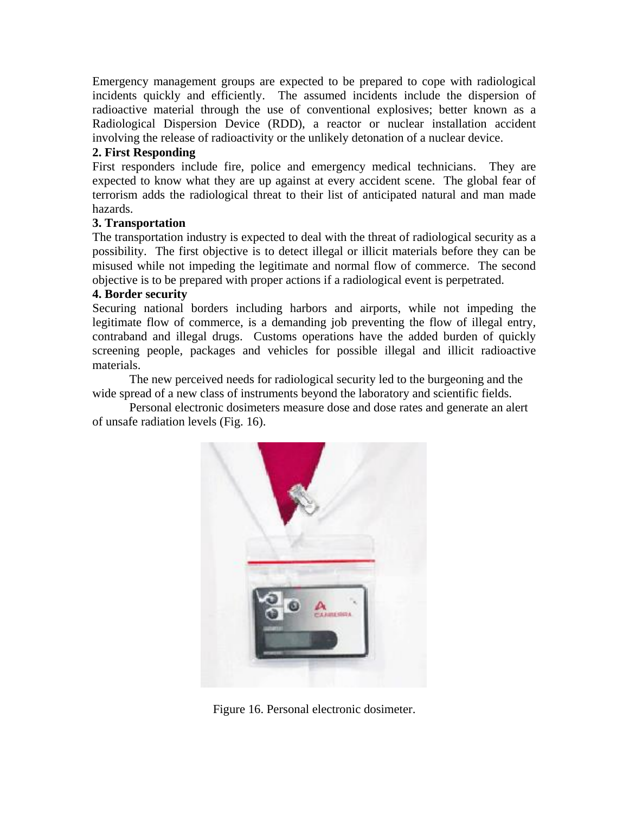Emergency management groups are expected to be prepared to cope with radiological incidents quickly and efficiently. The assumed incidents include the dispersion of radioactive material through the use of conventional explosives; better known as a Radiological Dispersion Device (RDD), a reactor or nuclear installation accident involving the release of radioactivity or the unlikely detonation of a nuclear device.

### **2. First Responding**

First responders include fire, police and emergency medical technicians. They are expected to know what they are up against at every accident scene. The global fear of terrorism adds the radiological threat to their list of anticipated natural and man made hazards.

### **3. Transportation**

The transportation industry is expected to deal with the threat of radiological security as a possibility. The first objective is to detect illegal or illicit materials before they can be misused while not impeding the legitimate and normal flow of commerce. The second objective is to be prepared with proper actions if a radiological event is perpetrated.

### **4. Border security**

Securing national borders including harbors and airports, while not impeding the legitimate flow of commerce, is a demanding job preventing the flow of illegal entry, contraband and illegal drugs. Customs operations have the added burden of quickly screening people, packages and vehicles for possible illegal and illicit radioactive materials.

The new perceived needs for radiological security led to the burgeoning and the wide spread of a new class of instruments beyond the laboratory and scientific fields.

Personal electronic dosimeters measure dose and dose rates and generate an alert of unsafe radiation levels (Fig. 16).



Figure 16. Personal electronic dosimeter.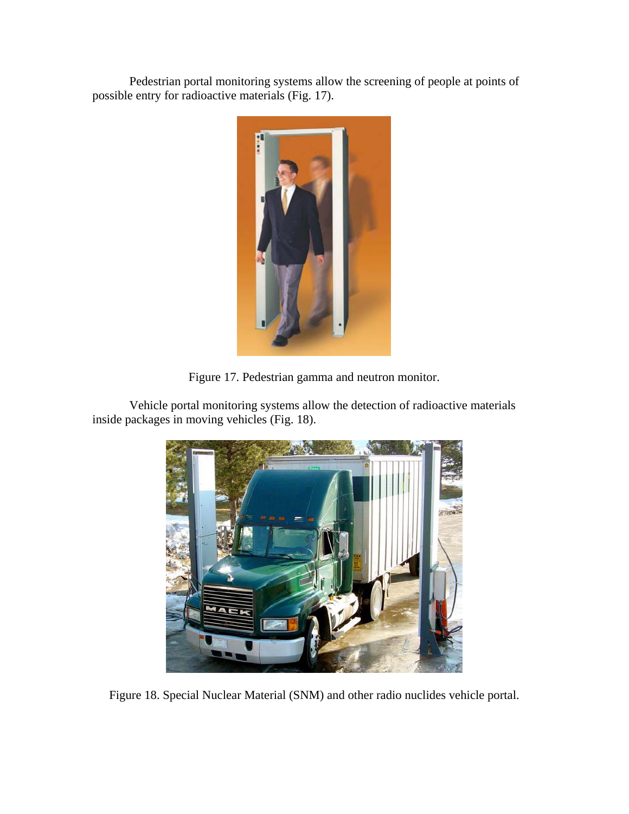Pedestrian portal monitoring systems allow the screening of people at points of possible entry for radioactive materials (Fig. 17).



Figure 17. Pedestrian gamma and neutron monitor.

Vehicle portal monitoring systems allow the detection of radioactive materials inside packages in moving vehicles (Fig. 18).



Figure 18. Special Nuclear Material (SNM) and other radio nuclides vehicle portal.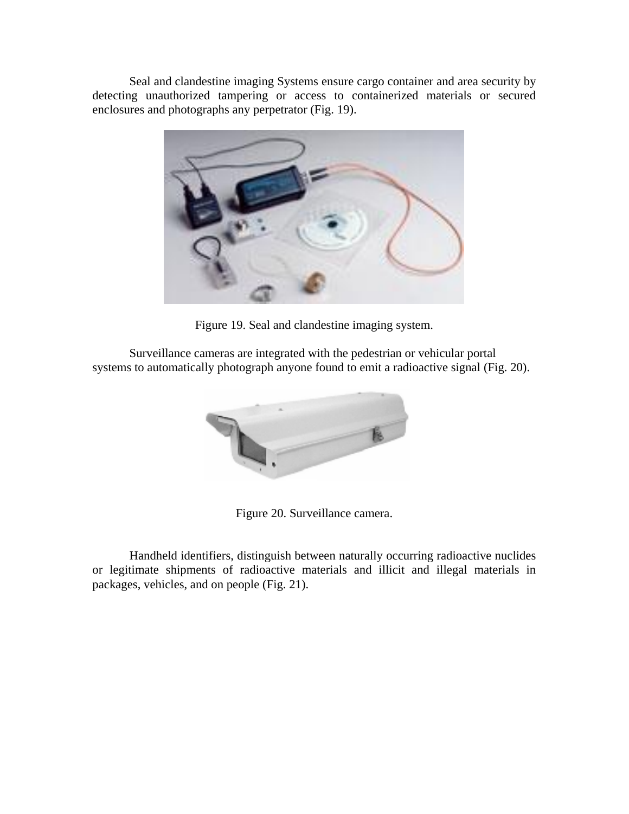Seal and clandestine imaging Systems ensure cargo container and area security by detecting unauthorized tampering or access to containerized materials or secured enclosures and photographs any perpetrator (Fig. 19).



Figure 19. Seal and clandestine imaging system.

Surveillance cameras are integrated with the pedestrian or vehicular portal systems to automatically photograph anyone found to emit a radioactive signal (Fig. 20).



Figure 20. Surveillance camera.

Handheld identifiers, distinguish between naturally occurring radioactive nuclides or legitimate shipments of radioactive materials and illicit and illegal materials in packages, vehicles, and on people (Fig. 21).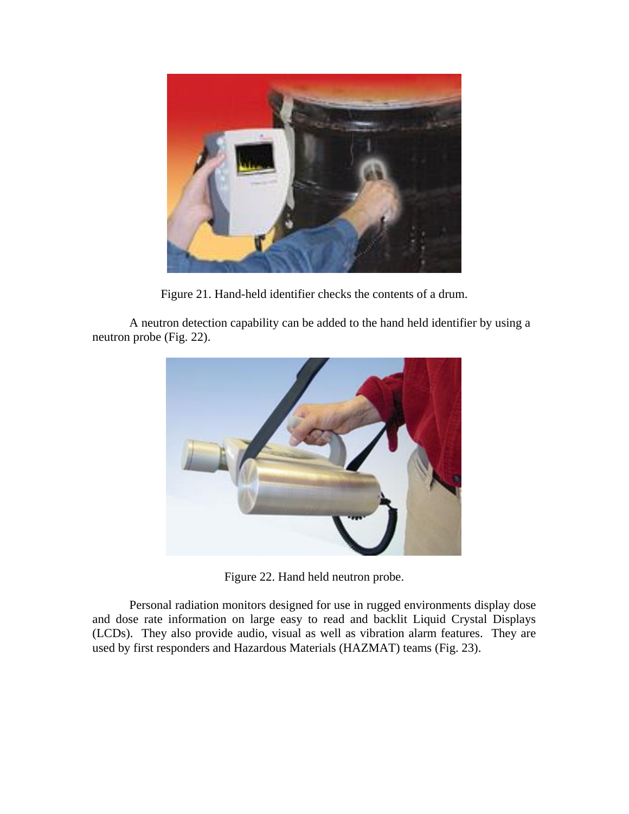

Figure 21. Hand-held identifier checks the contents of a drum.

A neutron detection capability can be added to the hand held identifier by using a neutron probe (Fig. 22).



Figure 22. Hand held neutron probe.

Personal radiation monitors designed for use in rugged environments display dose and dose rate information on large easy to read and backlit Liquid Crystal Displays (LCDs). They also provide audio, visual as well as vibration alarm features. They are used by first responders and Hazardous Materials (HAZMAT) teams (Fig. 23).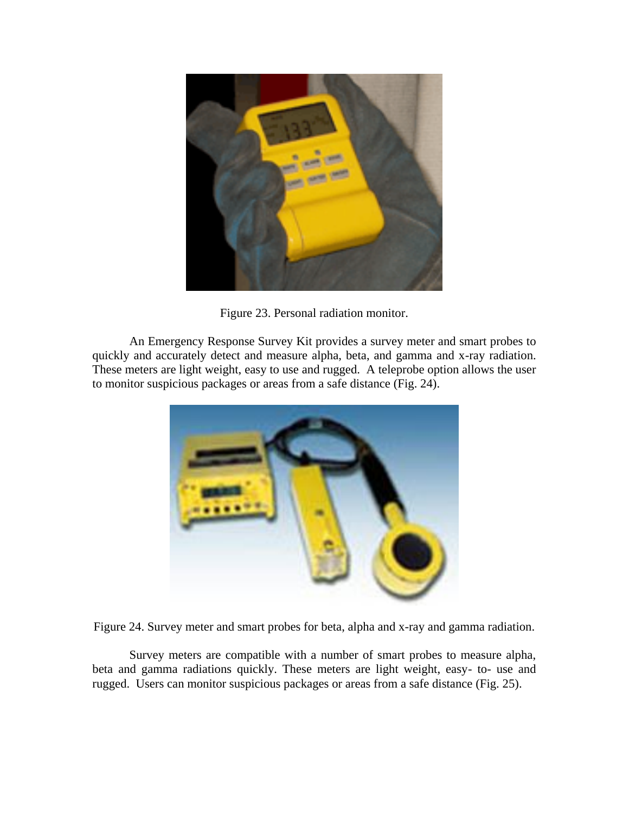

Figure 23. Personal radiation monitor.

An Emergency Response Survey Kit provides a survey meter and smart probes to quickly and accurately detect and measure alpha, beta, and gamma and x-ray radiation. These meters are light weight, easy to use and rugged. A teleprobe option allows the user to monitor suspicious packages or areas from a safe distance (Fig. 24).





Survey meters are compatible with a number of smart probes to measure alpha, beta and gamma radiations quickly. These meters are light weight, easy- to- use and rugged. Users can monitor suspicious packages or areas from a safe distance (Fig. 25).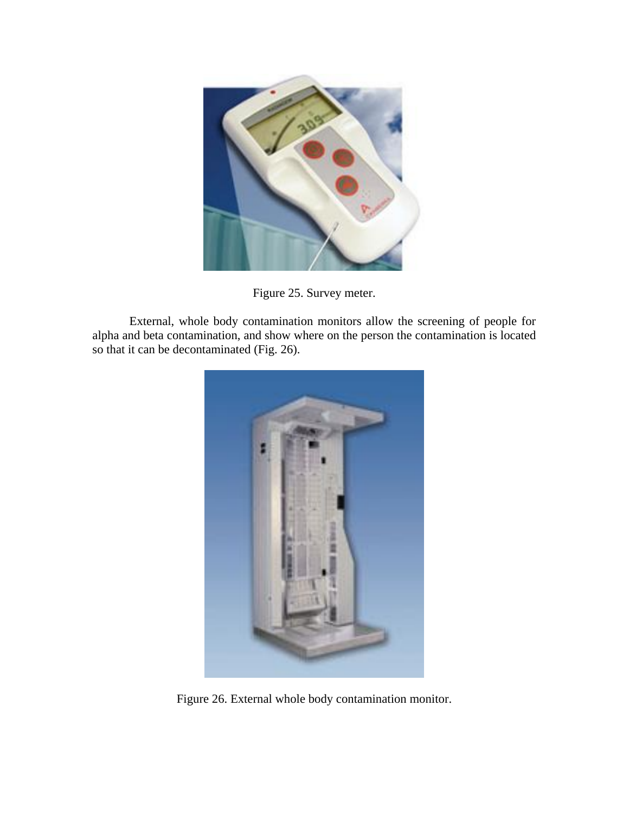

Figure 25. Survey meter.

External, whole body contamination monitors allow the screening of people for alpha and beta contamination, and show where on the person the contamination is located so that it can be decontaminated (Fig. 26).



Figure 26. External whole body contamination monitor.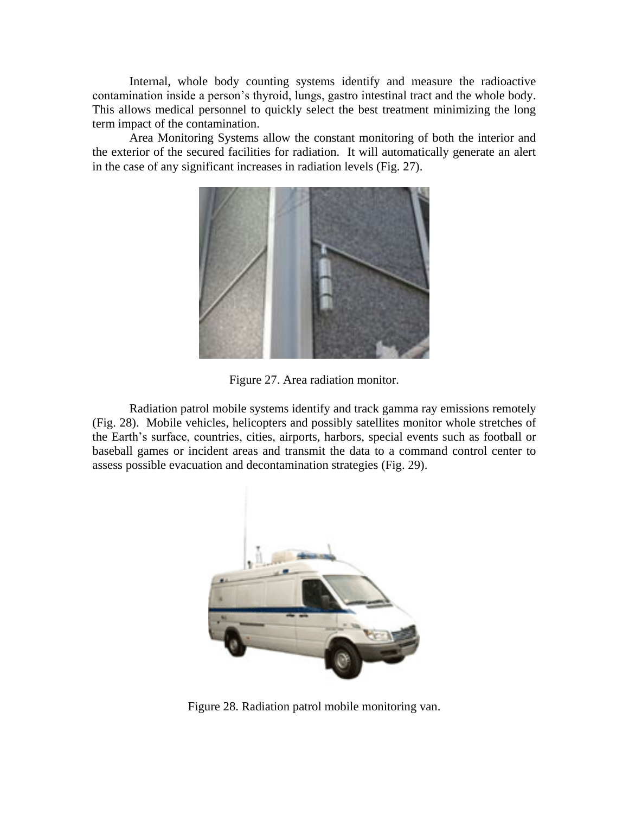Internal, whole body counting systems identify and measure the radioactive contamination inside a person's thyroid, lungs, gastro intestinal tract and the whole body. This allows medical personnel to quickly select the best treatment minimizing the long term impact of the contamination.

Area Monitoring Systems allow the constant monitoring of both the interior and the exterior of the secured facilities for radiation. It will automatically generate an alert in the case of any significant increases in radiation levels (Fig. 27).



Figure 27. Area radiation monitor.

Radiation patrol mobile systems identify and track gamma ray emissions remotely (Fig. 28). Mobile vehicles, helicopters and possibly satellites monitor whole stretches of the Earth's surface, countries, cities, airports, harbors, special events such as football or baseball games or incident areas and transmit the data to a command control center to assess possible evacuation and decontamination strategies (Fig. 29).



Figure 28. Radiation patrol mobile monitoring van.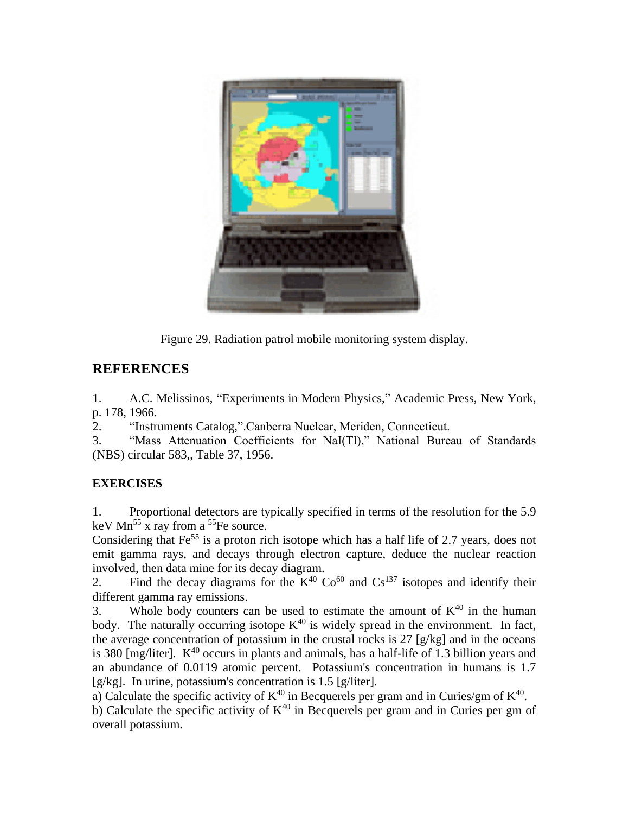

Figure 29. Radiation patrol mobile monitoring system display.

# **REFERENCES**

1. A.C. Melissinos, "Experiments in Modern Physics," Academic Press, New York, p. 178, 1966.

2. "Instruments Catalog,".Canberra Nuclear, Meriden, Connecticut.

3. "Mass Attenuation Coefficients for NaI(Tl)," National Bureau of Standards (NBS) circular 583,, Table 37, 1956.

# **EXERCISES**

1. Proportional detectors are typically specified in terms of the resolution for the 5.9 keV  $Mn^{55}$  x ray from a <sup>55</sup>Fe source.

Considering that  $Fe<sup>55</sup>$  is a proton rich isotope which has a half life of 2.7 years, does not emit gamma rays, and decays through electron capture, deduce the nuclear reaction involved, then data mine for its decay diagram.

2. Find the decay diagrams for the  $K^{40}$  Co<sup>60</sup> and Cs<sup>137</sup> isotopes and identify their different gamma ray emissions.

3. Whole body counters can be used to estimate the amount of  $K^{40}$  in the human body. The naturally occurring isotope  $K^{40}$  is widely spread in the environment. In fact, the average concentration of potassium in the crustal rocks is 27 [g/kg] and in the oceans is 380  $[mg/liter]$ .  $K^{40}$  occurs in plants and animals, has a half-life of 1.3 billion years and an abundance of 0.0119 atomic percent.Potassium's concentration in humans is 1.7 [g/kg]. In urine, potassium's concentration is 1.5 [g/liter].

a) Calculate the specific activity of  $K^{40}$  in Becquerels per gram and in Curies/gm of  $K^{40}$ .

b) Calculate the specific activity of  $K^{40}$  in Becquerels per gram and in Curies per gm of overall potassium.